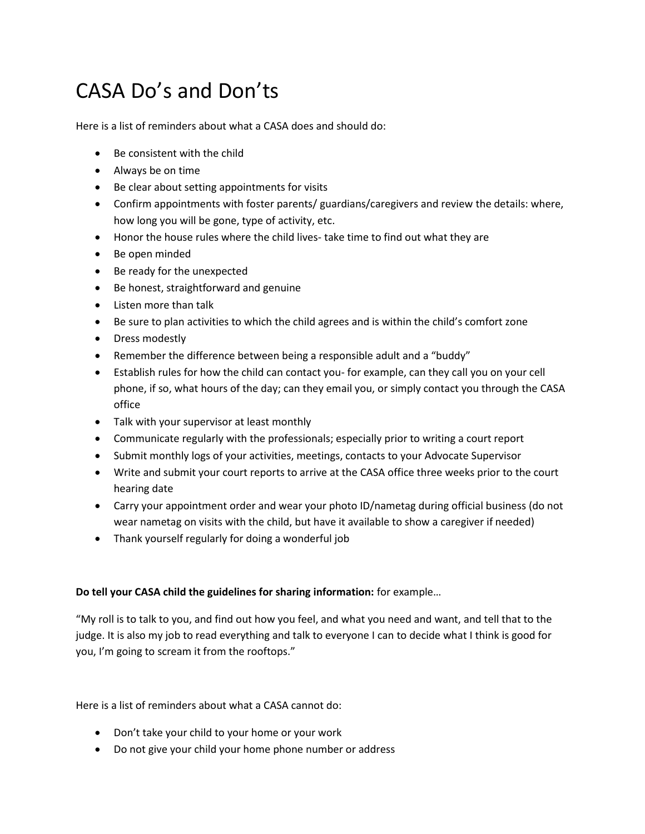## CASA Do's and Don'ts

Here is a list of reminders about what a CASA does and should do:

- Be consistent with the child
- Always be on time
- Be clear about setting appointments for visits
- Confirm appointments with foster parents/ guardians/caregivers and review the details: where, how long you will be gone, type of activity, etc.
- Honor the house rules where the child lives- take time to find out what they are
- Be open minded
- Be ready for the unexpected
- Be honest, straightforward and genuine
- Listen more than talk
- Be sure to plan activities to which the child agrees and is within the child's comfort zone
- Dress modestly
- Remember the difference between being a responsible adult and a "buddy"
- Establish rules for how the child can contact you- for example, can they call you on your cell phone, if so, what hours of the day; can they email you, or simply contact you through the CASA office
- Talk with your supervisor at least monthly
- Communicate regularly with the professionals; especially prior to writing a court report
- Submit monthly logs of your activities, meetings, contacts to your Advocate Supervisor
- Write and submit your court reports to arrive at the CASA office three weeks prior to the court hearing date
- Carry your appointment order and wear your photo ID/nametag during official business (do not wear nametag on visits with the child, but have it available to show a caregiver if needed)
- Thank yourself regularly for doing a wonderful job

## **Do tell your CASA child the guidelines for sharing information:** for example…

"My roll is to talk to you, and find out how you feel, and what you need and want, and tell that to the judge. It is also my job to read everything and talk to everyone I can to decide what I think is good for you, I'm going to scream it from the rooftops."

Here is a list of reminders about what a CASA cannot do:

- Don't take your child to your home or your work
- Do not give your child your home phone number or address